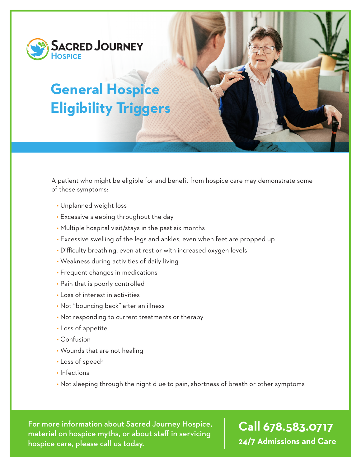

# **General Hospice Eligibility Triggers**

A patient who might be eligible for and benefit from hospice care may demonstrate some of these symptoms:

- Unplanned weight loss
- Excessive sleeping throughout the day
- Multiple hospital visit/stays in the past six months
- Excessive swelling of the legs and ankles, even when feet are propped up
- Difficulty breathing, even at rest or with increased oxygen levels
- Weakness during activities of daily living
- Frequent changes in medications
- Pain that is poorly controlled
- Loss of interest in activities
- Not "bouncing back" after an illness
- Not responding to current treatments or therapy
- Loss of appetite
- Confusion
- Wounds that are not healing
- Loss of speech
- Infections
- Not sleeping through the night d ue to pain, shortness of breath or other symptoms

For more information about Sacred Journey Hospice, material on hospice myths, or about staff in servicing hospice care, please call us today.

# **Call 678.583.0717 24/7 Admissions and Care**